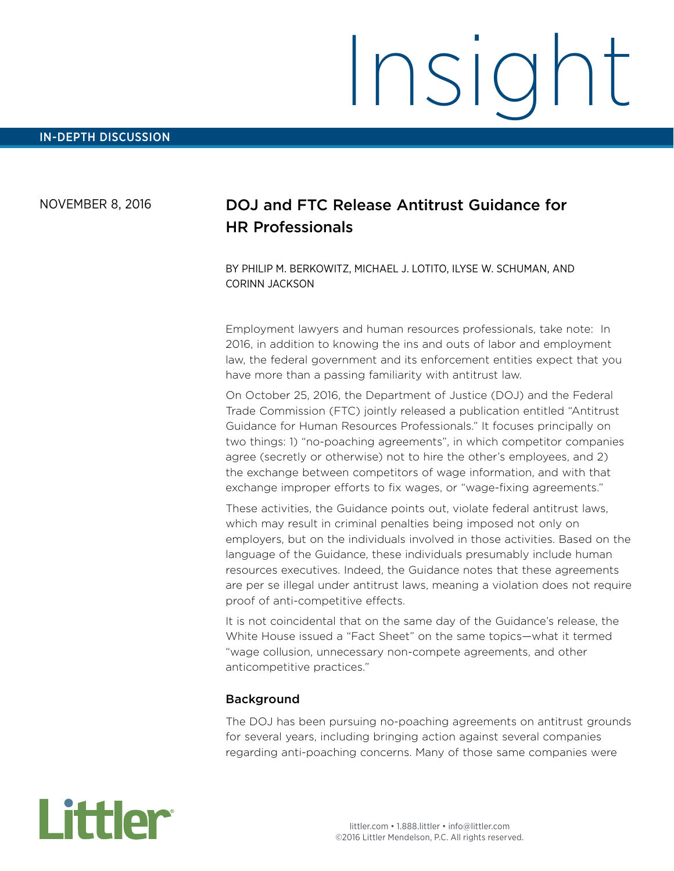# Insight

# NOVEMBER 8, 2016

# DOJ and FTC Release Antitrust Guidance for HR Professionals

BY PHILIP M. BERKOWITZ, MICHAEL J. LOTITO, ILYSE W. SCHUMAN, AND CORINN JACKSON

Employment lawyers and human resources professionals, take note: In 2016, in addition to knowing the ins and outs of labor and employment law, the federal government and its enforcement entities expect that you have more than a passing familiarity with antitrust law.

On October 25, 2016, the Department of Justice (DOJ) and the Federal Trade Commission (FTC) jointly released a publication entitled "Antitrust Guidance for Human Resources Professionals." It focuses principally on two things: 1) "no-poaching agreements", in which competitor companies agree (secretly or otherwise) not to hire the other's employees, and 2) the exchange between competitors of wage information, and with that exchange improper efforts to fix wages, or "wage-fixing agreements."

These activities, the Guidance points out, violate federal antitrust laws, which may result in criminal penalties being imposed not only on employers, but on the individuals involved in those activities. Based on the language of the Guidance, these individuals presumably include human resources executives. Indeed, the Guidance notes that these agreements are per se illegal under antitrust laws, meaning a violation does not require proof of anti-competitive effects.

It is not coincidental that on the same day of the Guidance's release, the White House issued a "Fact Sheet" on the same topics—what it termed "wage collusion, unnecessary non-compete agreements, and other anticompetitive practices."

#### Background

The DOJ has been pursuing no-poaching agreements on antitrust grounds for several years, including bringing action against several companies regarding anti-poaching concerns. Many of those same companies were

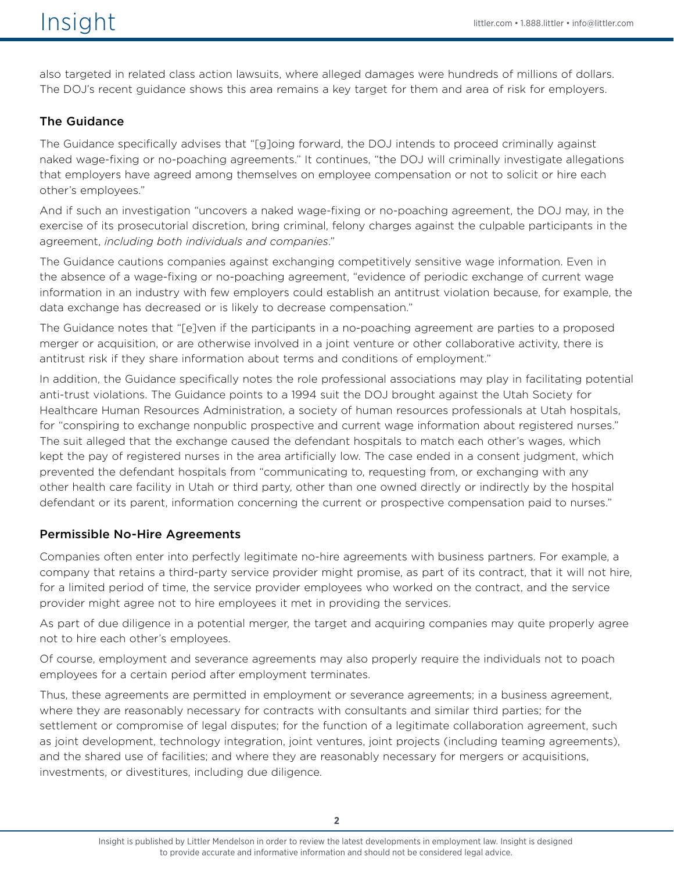also targeted in related class action lawsuits, where alleged damages were hundreds of millions of dollars. The DOJ's recent guidance shows this area remains a key target for them and area of risk for employers.

#### The Guidance

The Guidance specifically advises that "[g]oing forward, the DOJ intends to proceed criminally against naked wage-fixing or no-poaching agreements." It continues, "the DOJ will criminally investigate allegations that employers have agreed among themselves on employee compensation or not to solicit or hire each other's employees."

And if such an investigation "uncovers a naked wage-fixing or no-poaching agreement, the DOJ may, in the exercise of its prosecutorial discretion, bring criminal, felony charges against the culpable participants in the agreement, *including both individuals and companies*."

The Guidance cautions companies against exchanging competitively sensitive wage information. Even in the absence of a wage-fixing or no-poaching agreement, "evidence of periodic exchange of current wage information in an industry with few employers could establish an antitrust violation because, for example, the data exchange has decreased or is likely to decrease compensation."

The Guidance notes that "[e]ven if the participants in a no-poaching agreement are parties to a proposed merger or acquisition, or are otherwise involved in a joint venture or other collaborative activity, there is antitrust risk if they share information about terms and conditions of employment."

In addition, the Guidance specifically notes the role professional associations may play in facilitating potential anti-trust violations. The Guidance points to a 1994 suit the DOJ brought against the Utah Society for Healthcare Human Resources Administration, a society of human resources professionals at Utah hospitals, for "conspiring to exchange nonpublic prospective and current wage information about registered nurses." The suit alleged that the exchange caused the defendant hospitals to match each other's wages, which kept the pay of registered nurses in the area artificially low. The case ended in a consent judgment, which prevented the defendant hospitals from "communicating to, requesting from, or exchanging with any other health care facility in Utah or third party, other than one owned directly or indirectly by the hospital defendant or its parent, information concerning the current or prospective compensation paid to nurses."

# Permissible No-Hire Agreements

Companies often enter into perfectly legitimate no-hire agreements with business partners. For example, a company that retains a third-party service provider might promise, as part of its contract, that it will not hire, for a limited period of time, the service provider employees who worked on the contract, and the service provider might agree not to hire employees it met in providing the services.

As part of due diligence in a potential merger, the target and acquiring companies may quite properly agree not to hire each other's employees.

Of course, employment and severance agreements may also properly require the individuals not to poach employees for a certain period after employment terminates.

Thus, these agreements are permitted in employment or severance agreements; in a business agreement, where they are reasonably necessary for contracts with consultants and similar third parties; for the settlement or compromise of legal disputes; for the function of a legitimate collaboration agreement, such as joint development, technology integration, joint ventures, joint projects (including teaming agreements), and the shared use of facilities; and where they are reasonably necessary for mergers or acquisitions, investments, or divestitures, including due diligence.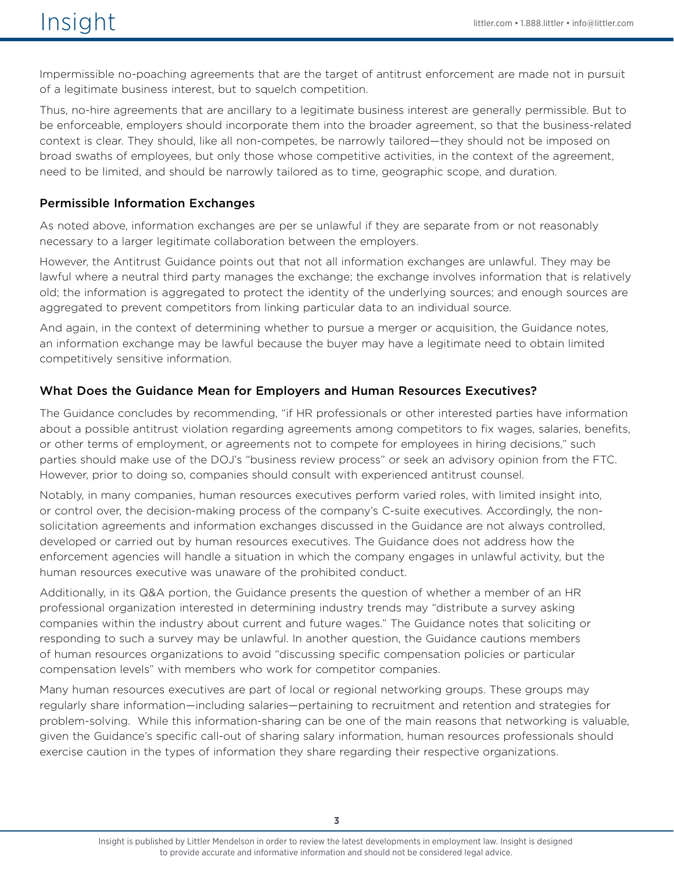Impermissible no-poaching agreements that are the target of antitrust enforcement are made not in pursuit of a legitimate business interest, but to squelch competition.

Thus, no-hire agreements that are ancillary to a legitimate business interest are generally permissible. But to be enforceable, employers should incorporate them into the broader agreement, so that the business-related context is clear. They should, like all non-competes, be narrowly tailored—they should not be imposed on broad swaths of employees, but only those whose competitive activities, in the context of the agreement, need to be limited, and should be narrowly tailored as to time, geographic scope, and duration.

#### Permissible Information Exchanges

As noted above, information exchanges are per se unlawful if they are separate from or not reasonably necessary to a larger legitimate collaboration between the employers.

However, the Antitrust Guidance points out that not all information exchanges are unlawful. They may be lawful where a neutral third party manages the exchange; the exchange involves information that is relatively old; the information is aggregated to protect the identity of the underlying sources; and enough sources are aggregated to prevent competitors from linking particular data to an individual source.

And again, in the context of determining whether to pursue a merger or acquisition, the Guidance notes, an information exchange may be lawful because the buyer may have a legitimate need to obtain limited competitively sensitive information.

#### What Does the Guidance Mean for Employers and Human Resources Executives?

The Guidance concludes by recommending, "if HR professionals or other interested parties have information about a possible antitrust violation regarding agreements among competitors to fix wages, salaries, benefits, or other terms of employment, or agreements not to compete for employees in hiring decisions," such parties should make use of the DOJ's "business review process" or seek an advisory opinion from the FTC. However, prior to doing so, companies should consult with experienced antitrust counsel.

Notably, in many companies, human resources executives perform varied roles, with limited insight into, or control over, the decision-making process of the company's C-suite executives. Accordingly, the nonsolicitation agreements and information exchanges discussed in the Guidance are not always controlled, developed or carried out by human resources executives. The Guidance does not address how the enforcement agencies will handle a situation in which the company engages in unlawful activity, but the human resources executive was unaware of the prohibited conduct.

Additionally, in its Q&A portion, the Guidance presents the question of whether a member of an HR professional organization interested in determining industry trends may "distribute a survey asking companies within the industry about current and future wages." The Guidance notes that soliciting or responding to such a survey may be unlawful. In another question, the Guidance cautions members of human resources organizations to avoid "discussing specific compensation policies or particular compensation levels" with members who work for competitor companies.

Many human resources executives are part of local or regional networking groups. These groups may regularly share information—including salaries—pertaining to recruitment and retention and strategies for problem-solving. While this information-sharing can be one of the main reasons that networking is valuable, given the Guidance's specific call-out of sharing salary information, human resources professionals should exercise caution in the types of information they share regarding their respective organizations.